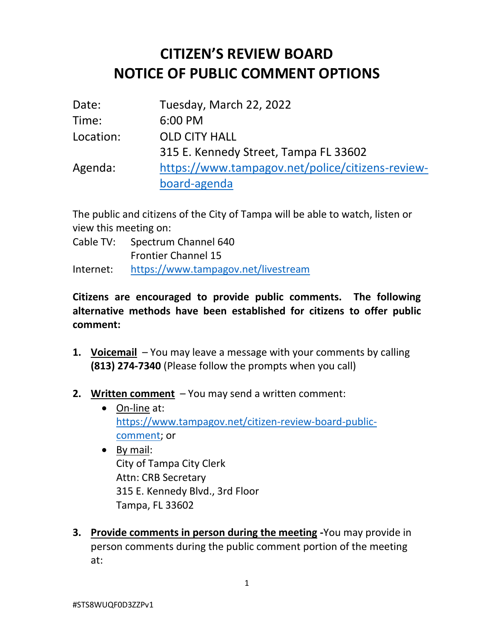## **CITIZEN'S REVIEW BOARD NOTICE OF PUBLIC COMMENT OPTIONS**

| Date:     | Tuesday, March 22, 2022                          |
|-----------|--------------------------------------------------|
| Time:     | 6:00 PM                                          |
| Location: | <b>OLD CITY HALL</b>                             |
|           | 315 E. Kennedy Street, Tampa FL 33602            |
| Agenda:   | https://www.tampagov.net/police/citizens-review- |
|           | board-agenda                                     |

The public and citizens of the City of Tampa will be able to watch, listen or view this meeting on:

Cable TV: Spectrum Channel 640 Frontier Channel 15

Internet: <https://www.tampagov.net/livestream>

## **Citizens are encouraged to provide public comments. The following alternative methods have been established for citizens to offer public comment:**

- **1. Voicemail** You may leave a message with your comments by calling **(813) 274-7340** (Please follow the prompts when you call)
- **2. Written comment** You may send a written comment:
	- On-line at: [https://www.tampagov.net/citizen-review-board-public](https://www.tampagov.net/citizen-review-board-public-comment)[comment;](https://www.tampagov.net/citizen-review-board-public-comment) or
	- By mail: City of Tampa City Clerk Attn: CRB Secretary 315 E. Kennedy Blvd., 3rd Floor Tampa, FL 33602
- **3. Provide comments in person during the meeting -**You may provide in person comments during the public comment portion of the meeting at: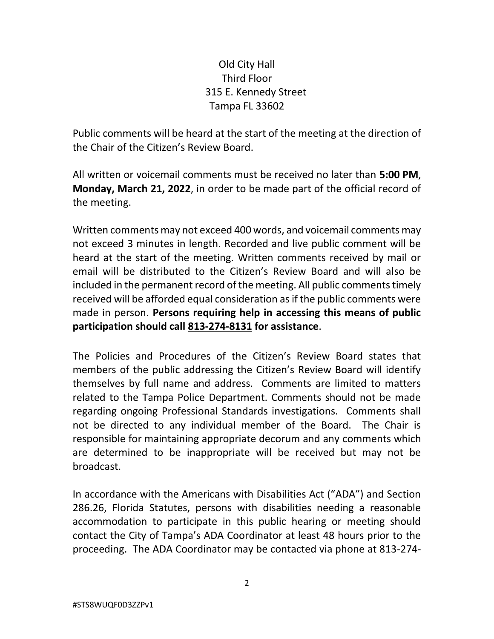## Old City Hall Third Floor 315 E. Kennedy Street Tampa FL 33602

Public comments will be heard at the start of the meeting at the direction of the Chair of the Citizen's Review Board.

All written or voicemail comments must be received no later than **5:00 PM**, **Monday, March 21, 2022**, in order to be made part of the official record of the meeting.

Written comments may not exceed 400 words, and voicemail comments may not exceed 3 minutes in length. Recorded and live public comment will be heard at the start of the meeting. Written comments received by mail or email will be distributed to the Citizen's Review Board and will also be included in the permanent record of the meeting. All public comments timely received will be afforded equal consideration as if the public comments were made in person. **Persons requiring help in accessing this means of public participation should call 813-274-8131 for assistance**.

The Policies and Procedures of the Citizen's Review Board states that members of the public addressing the Citizen's Review Board will identify themselves by full name and address. Comments are limited to matters related to the Tampa Police Department. Comments should not be made regarding ongoing Professional Standards investigations. Comments shall not be directed to any individual member of the Board. The Chair is responsible for maintaining appropriate decorum and any comments which are determined to be inappropriate will be received but may not be broadcast.

In accordance with the Americans with Disabilities Act ("ADA") and Section 286.26, Florida Statutes, persons with disabilities needing a reasonable accommodation to participate in this public hearing or meeting should contact the City of Tampa's ADA Coordinator at least 48 hours prior to the proceeding. The ADA Coordinator may be contacted via phone at 813-274